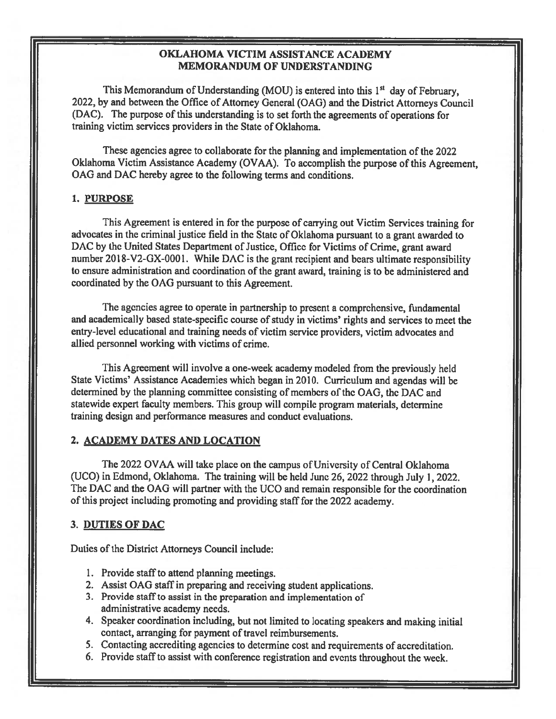## OKLAHOMA VICTIM ASSISTANCE ACADEMY MEMORANDUM OF UNDERSTANDING

This Memorandum of Understanding (MOU) is entered into this  $1<sup>st</sup>$  day of February, 2022, by and between the Office of Attorney General (OAG) and the District Attorneys Council (DAC). The purpose of this understanding is to set forth the agreements of operations for training victim services providers in the State of Oklahoma.

These agencies agree to collaborate for the <sup>p</sup>lanning and implementation of the 2022 Oklahoma Victim Assistance Academy (OVAA). To accomplish the purpose of this Agreement, GAG and DAC hereby agree to the following terms and conditions.

#### 1. PURPOSE

This Agreement is entered in for the purpose of carrying out Victim Services training for advocates in the criminal justice field in the State of Oklahoma pursuant to a grant awarded to DAC by the United States Department of Justice, Office for Victims of Crime, grant award number  $2018-\text{V2-GX-0001}$ . While DAC is the grant recipient and bears ultimate responsibility to ensure administration and coordination of the gran<sup>t</sup> award, training is to be administered and coordinated by the OAG pursuan<sup>t</sup> to this Agreement.

The agencies agree to operate in partnership to presen<sup>t</sup> <sup>a</sup> comprehensive, fundamental and academically based state-specific course of study in victims' rights and services to meet the entry-level educational and training needs of victim service providers, victim advocates and allied personnel working with victims of crime.

This Agreement will involve <sup>a</sup> one-week academy modeled from the previously held State Victims' Assistance Academies which began in 2010. Curriculum and agendas will be determined by the planning committee consisting of members of the OAG, the DAC and statewide exper<sup>t</sup> faculty members. This group will compile program materials, determine training design and performance measures and conduct evaluations.

### 2. ACADEMY DATES AND LOCATION

The 2022 OVAA will take place on the campus of University of Central Oklahoma (UCO) in Edmond, Oklahoma. The training will be held June 26, <sup>2022</sup> through July 1, 2022. The DAC and the OAG will partner with the UCO and remain responsible for the coordination of this project including promoting and providing staff for the 2022 academy.

### 3. DUTIES OF DAC

Duties of the District Attorneys Council include:

- 1. Provide staff to attend planning meetings.
- 2. Assist OAG staff in preparing and receiving student applications.
- 3. Provide staff to assist in the preparation and implementation of administrative academy needs.
- 4. Speaker coordination including, but not limited to locating speakers and making initial contact, arranging for payment of travel reimbursements.
- 5. Contacting accrediting agencies to determine cost and requirements of accreditation.
- 6. Provide staff to assist with conference registration and events throughout the week.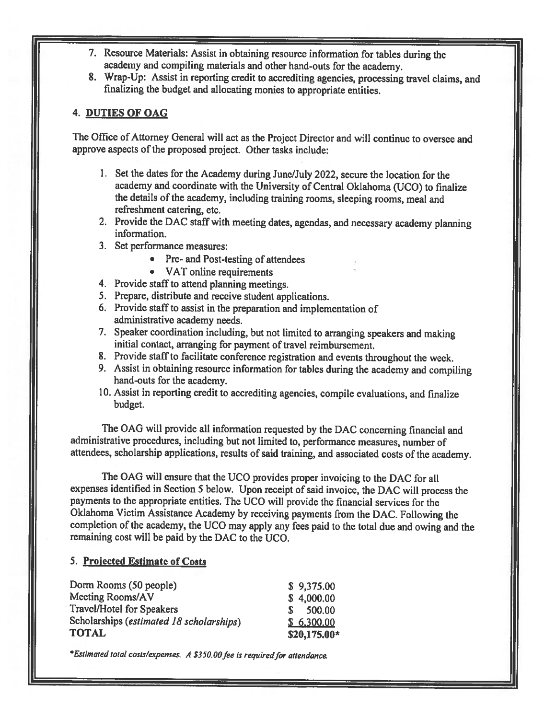- 7. Resource Materials: Assist in obtaining resource information for tables during the academy and compiting materials and other hand-outs for the academy.
- 8. Wrap-Up: Assist in reporting credit to accrediting agencies, processing travel claims, and finalizing the budget and allocating monies to appropriate entities.

# 4. DUTIES OF OAG

The Office of Attorney General will act as the Project Director and will continue to oversee and approve aspects of the proposed project. Other tasks include:

- I. Set the dates for the Academy during June/July 2022, secure the location for the academy and coordinate with the University of Central Oklahoma (UCO) to finalize the details of the academy, including training rooms, sleeping rooms, meal and refreshment catering, etc.
- 2. Provide the DAC staff with meeting dates, agendas, and necessary academy <sup>p</sup>lanning information.
- 3. Set performance measures:
	- Pre- and Post-testing of attendees
	- VAT online requirements
- 4. Provide staff to attend planning meetings.
- 5. Prepare, distribute and receive student applications.
- 6. Provide staff to assist in the preparation and implementation of administrative academy needs.
- 7. Speaker coordination including, but not limited to arranging speakers and making initial contact, arranging for payment of travel reimbursement.
- 8. Provide staff to facilitate conference registration and events throughout the week.
- 9. Assist in obtaining resource information for tables during the academy and compiling hand-outs for the academy.
- 10. Assist in reporting credit to accrediting agencies, compile evaluations, and finalize budget.

The OAG will provide all information requested by the DAC concerning financial and administrative procedures, including but not limited to, performance measures, number of attendees, scholarship applications, results of said training, and associated costs of the academy.

The OAG will ensure that the UCO provides proper invoicing to the DAC for all expenses identified in Section <sup>5</sup> below. Upon receipt of said invoice, the DAC will process the payments to the appropriate entities. The UCO will provide the financial services for the Oklahoma Victim Assistance Academy by receiving payments from the DAC. Following the completion of the academy, the UCO may apply any fees paid to the total due and owing and the remaining cost will be paid by the DAC to the UCO.

### 5. Projected Estimate of Costs

| Dorm Rooms (50 people)                   | \$9,375.00   |
|------------------------------------------|--------------|
| Meeting Rooms/AV                         | \$4,000.00   |
| <b>Travel/Hotel for Speakers</b>         | 500.00<br>S. |
| Scholarships (estimated 18 scholarships) | \$6,300,00   |
| <b>TOTAL</b>                             | \$20,175.00* |

\*Estimated total costs/expenses. A \$350.00 fee is required for attendance.